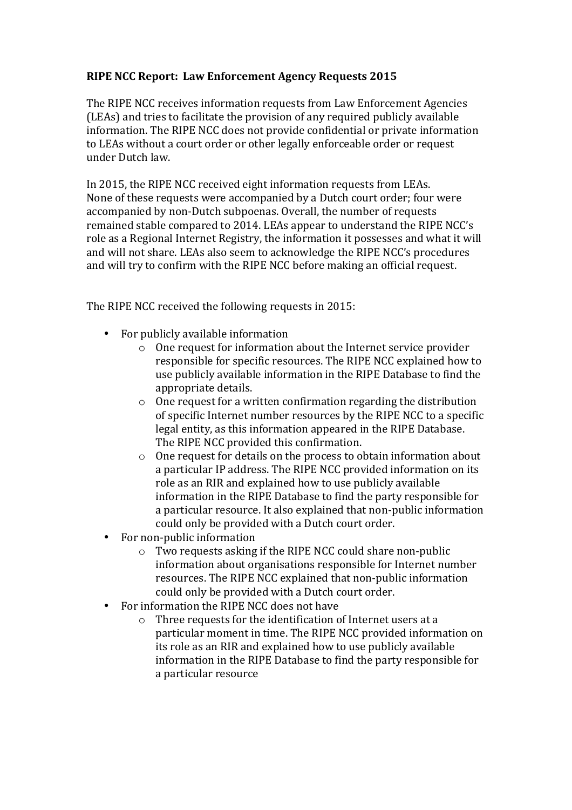## **RIPE NCC Report: Law Enforcement Agency Requests 2015**

The RIPE NCC receives information requests from Law Enforcement Agencies (LEAs) and tries to facilitate the provision of any required publicly available information. The RIPE NCC does not provide confidential or private information to LEAs without a court order or other legally enforceable order or request under Dutch law.

In 2015, the RIPE NCC received eight information requests from LEAs. None of these requests were accompanied by a Dutch court order; four were accompanied by non-Dutch subpoenas. Overall, the number of requests remained stable compared to 2014. LEAs appear to understand the RIPE NCC's role as a Regional Internet Registry, the information it possesses and what it will and will not share. LEAs also seem to acknowledge the RIPE NCC's procedures and will try to confirm with the RIPE NCC before making an official request.

The RIPE NCC received the following requests in 2015:

- $\bullet$  For publicly available information
	- $\circ$  One request for information about the Internet service provider responsible for specific resources. The RIPE NCC explained how to use publicly available information in the RIPE Database to find the appropriate details.
	- $\circ$  One request for a written confirmation regarding the distribution of specific Internet number resources by the RIPE NCC to a specific legal entity, as this information appeared in the RIPE Database. The RIPE NCC provided this confirmation.
	- $\circ$  One request for details on the process to obtain information about a particular IP address. The RIPE NCC provided information on its role as an RIR and explained how to use publicly available information in the RIPE Database to find the party responsible for a particular resource. It also explained that non-public information could only be provided with a Dutch court order.
- For non-public information
	- $\circ$  Two requests asking if the RIPE NCC could share non-public information about organisations responsible for Internet number resources. The RIPE NCC explained that non-public information could only be provided with a Dutch court order.
- For information the RIPE NCC does not have<br>  $\circ$  Three requests for the identification c
	- Three requests for the identification of Internet users at a particular moment in time. The RIPE NCC provided information on its role as an RIR and explained how to use publicly available information in the RIPE Database to find the party responsible for a particular resource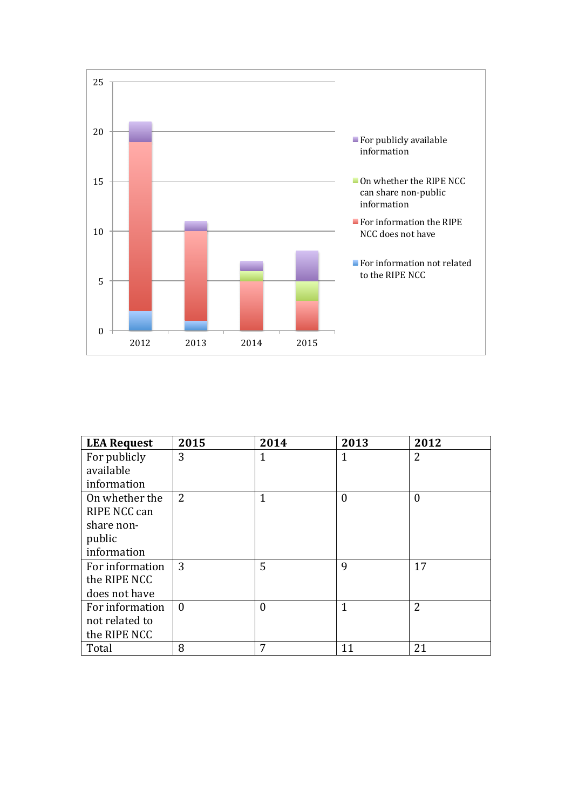

| <b>LEA Request</b> | 2015           | 2014     | 2013           | 2012           |
|--------------------|----------------|----------|----------------|----------------|
| For publicly       | 3              |          | 1              | 2              |
| available          |                |          |                |                |
| information        |                |          |                |                |
| On whether the     | $\overline{2}$ | 1        | $\overline{0}$ | $\theta$       |
| RIPE NCC can       |                |          |                |                |
| share non-         |                |          |                |                |
| public             |                |          |                |                |
| information        |                |          |                |                |
| For information    | 3              | 5        | 9              | 17             |
| the RIPE NCC       |                |          |                |                |
| does not have      |                |          |                |                |
| For information    | $\theta$       | $\Omega$ | $\mathbf{1}$   | $\overline{2}$ |
| not related to     |                |          |                |                |
| the RIPE NCC       |                |          |                |                |
| Total              | 8              | 7        | 11             | 21             |